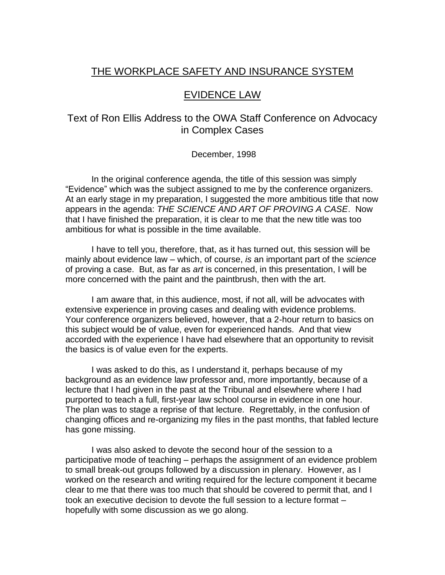# THE WORKPLACE SAFETY AND INSURANCE SYSTEM

# EVIDENCE LAW

# Text of Ron Ellis Address to the OWA Staff Conference on Advocacy in Complex Cases

# December, 1998

In the original conference agenda, the title of this session was simply "Evidence" which was the subject assigned to me by the conference organizers. At an early stage in my preparation, I suggested the more ambitious title that now appears in the agenda: *THE SCIENCE AND ART OF PROVING A CASE*. Now that I have finished the preparation, it is clear to me that the new title was too ambitious for what is possible in the time available.

I have to tell you, therefore, that, as it has turned out, this session will be mainly about evidence law – which, of course, *is* an important part of the *science* of proving a case. But, as far as *art* is concerned, in this presentation, I will be more concerned with the paint and the paintbrush, then with the art.

I am aware that, in this audience, most, if not all, will be advocates with extensive experience in proving cases and dealing with evidence problems. Your conference organizers believed, however, that a 2-hour return to basics on this subject would be of value, even for experienced hands. And that view accorded with the experience I have had elsewhere that an opportunity to revisit the basics is of value even for the experts.

I was asked to do this, as I understand it, perhaps because of my background as an evidence law professor and, more importantly, because of a lecture that I had given in the past at the Tribunal and elsewhere where I had purported to teach a full, first-year law school course in evidence in one hour. The plan was to stage a reprise of that lecture. Regrettably, in the confusion of changing offices and re-organizing my files in the past months, that fabled lecture has gone missing.

I was also asked to devote the second hour of the session to a participative mode of teaching – perhaps the assignment of an evidence problem to small break-out groups followed by a discussion in plenary. However, as I worked on the research and writing required for the lecture component it became clear to me that there was too much that should be covered to permit that, and I took an executive decision to devote the full session to a lecture format – hopefully with some discussion as we go along.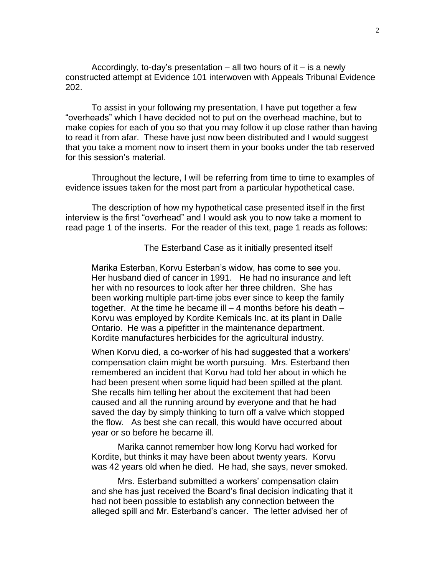Accordingly, to-day's presentation  $-$  all two hours of it  $-$  is a newly constructed attempt at Evidence 101 interwoven with Appeals Tribunal Evidence 202.

To assist in your following my presentation, I have put together a few "overheads" which I have decided not to put on the overhead machine, but to make copies for each of you so that you may follow it up close rather than having to read it from afar. These have just now been distributed and I would suggest that you take a moment now to insert them in your books under the tab reserved for this session's material.

Throughout the lecture, I will be referring from time to time to examples of evidence issues taken for the most part from a particular hypothetical case.

The description of how my hypothetical case presented itself in the first interview is the first "overhead" and I would ask you to now take a moment to read page 1 of the inserts. For the reader of this text, page 1 reads as follows:

## The Esterband Case as it initially presented itself

Marika Esterban, Korvu Esterban's widow, has come to see you. Her husband died of cancer in 1991. He had no insurance and left her with no resources to look after her three children. She has been working multiple part-time jobs ever since to keep the family together. At the time he became ill  $-4$  months before his death  $-$ Korvu was employed by Kordite Kemicals Inc. at its plant in Dalle Ontario. He was a pipefitter in the maintenance department. Kordite manufactures herbicides for the agricultural industry.

When Korvu died, a co-worker of his had suggested that a workers' compensation claim might be worth pursuing. Mrs. Esterband then remembered an incident that Korvu had told her about in which he had been present when some liquid had been spilled at the plant. She recalls him telling her about the excitement that had been caused and all the running around by everyone and that he had saved the day by simply thinking to turn off a valve which stopped the flow. As best she can recall, this would have occurred about year or so before he became ill.

Marika cannot remember how long Korvu had worked for Kordite, but thinks it may have been about twenty years. Korvu was 42 years old when he died. He had, she says, never smoked.

Mrs. Esterband submitted a workers' compensation claim and she has just received the Board's final decision indicating that it had not been possible to establish any connection between the alleged spill and Mr. Esterband's cancer. The letter advised her of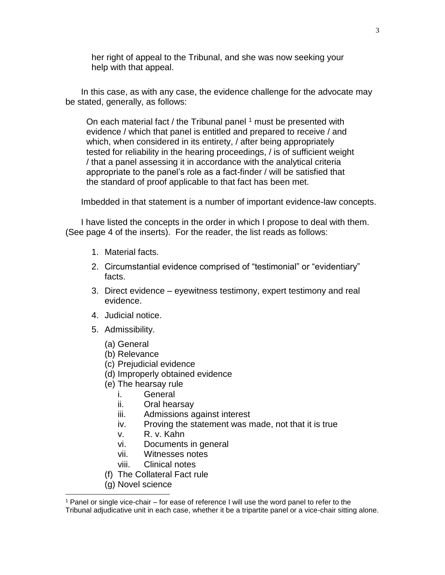her right of appeal to the Tribunal, and she was now seeking your help with that appeal.

In this case, as with any case, the evidence challenge for the advocate may be stated, generally, as follows:

On each material fact / the Tribunal panel  $1$  must be presented with evidence / which that panel is entitled and prepared to receive / and which, when considered in its entirety, / after being appropriately tested for reliability in the hearing proceedings, / is of sufficient weight / that a panel assessing it in accordance with the analytical criteria appropriate to the panel's role as a fact-finder / will be satisfied that the standard of proof applicable to that fact has been met.

Imbedded in that statement is a number of important evidence-law concepts.

I have listed the concepts in the order in which I propose to deal with them. (See page 4 of the inserts). For the reader, the list reads as follows:

- 1. Material facts.
- 2. Circumstantial evidence comprised of "testimonial" or "evidentiary" facts.
- 3. Direct evidence eyewitness testimony, expert testimony and real evidence.
- 4. Judicial notice.
- 5. Admissibility.
	- (a) General
	- (b) Relevance
	- (c) Prejudicial evidence
	- (d) Improperly obtained evidence
	- (e) The hearsay rule
		- i. General
		- ii. Oral hearsay
		- iii. Admissions against interest
		- iv. Proving the statement was made, not that it is true
		- v. R. v. Kahn
		- vi. Documents in general
		- vii. Witnesses notes
		- viii. Clinical notes
	- (f) The Collateral Fact rule
	- (g) Novel science

 $\overline{\phantom{a}}$ 

<sup>1</sup> Panel or single vice-chair – for ease of reference I will use the word panel to refer to the Tribunal adjudicative unit in each case, whether it be a tripartite panel or a vice-chair sitting alone.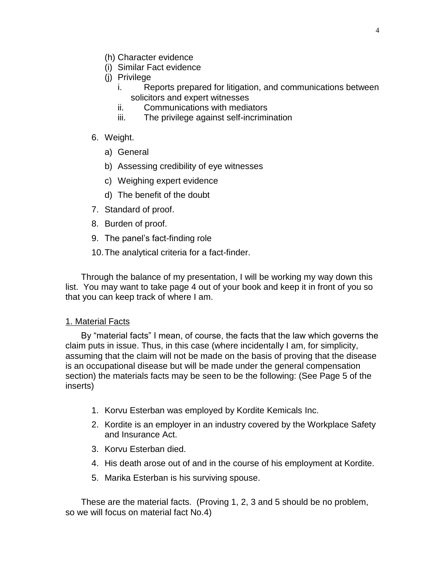- (h) Character evidence
- (i) Similar Fact evidence
- (j) Privilege
	- i. Reports prepared for litigation, and communications between solicitors and expert witnesses
	- ii. Communications with mediators
	- iii. The privilege against self-incrimination
- 6. Weight.
	- a) General
	- b) Assessing credibility of eye witnesses
	- c) Weighing expert evidence
	- d) The benefit of the doubt
- 7. Standard of proof.
- 8. Burden of proof.
- 9. The panel's fact-finding role
- 10.The analytical criteria for a fact-finder.

Through the balance of my presentation, I will be working my way down this list. You may want to take page 4 out of your book and keep it in front of you so that you can keep track of where I am.

# 1. Material Facts

By "material facts" I mean, of course, the facts that the law which governs the claim puts in issue. Thus, in this case (where incidentally I am, for simplicity, assuming that the claim will not be made on the basis of proving that the disease is an occupational disease but will be made under the general compensation section) the materials facts may be seen to be the following: (See Page 5 of the inserts)

- 1. Korvu Esterban was employed by Kordite Kemicals Inc.
- 2. Kordite is an employer in an industry covered by the Workplace Safety and Insurance Act.
- 3. Korvu Esterban died.
- 4. His death arose out of and in the course of his employment at Kordite.
- 5. Marika Esterban is his surviving spouse.

These are the material facts. (Proving 1, 2, 3 and 5 should be no problem, so we will focus on material fact No.4)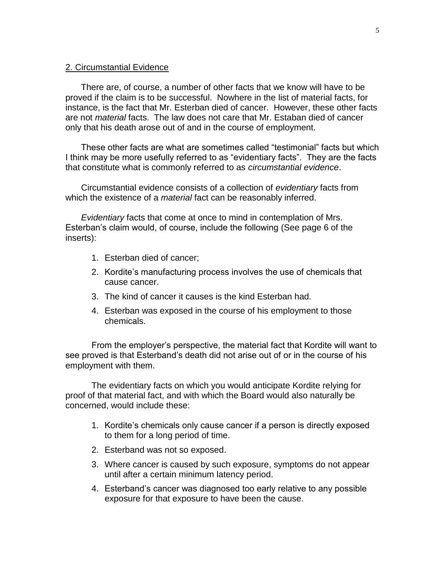# 2. Circumstantial Evidence

There are, of course, a number of other facts that we know will have to be proved if the claim is to be successful. Nowhere in the list of material facts, for instance, is the fact that Mr. Esterban died of cancer. However, these other facts are not *material* facts. The law does not care that Mr. Estaban died of cancer only that his death arose out of and in the course of employment.

These other facts are what are sometimes called "testimonial" facts but which I think may be more usefully referred to as "evidentiary facts". They are the facts that constitute what is commonly referred to as *circumstantial evidence*.

Circumstantial evidence consists of a collection of *evidentiary* facts from which the existence of a *material* fact can be reasonably inferred.

*Evidentiary* facts that come at once to mind in contemplation of Mrs. Esterban's claim would, of course, include the following (See page 6 of the inserts):

- 1. Esterban died of cancer;
- 2. Kordite's manufacturing process involves the use of chemicals that cause cancer.
- 3. The kind of cancer it causes is the kind Esterban had.
- 4. Esterban was exposed in the course of his employment to those chemicals.

From the employer's perspective, the material fact that Kordite will want to see proved is that Esterband's death did not arise out of or in the course of his employment with them.

The evidentiary facts on which you would anticipate Kordite relying for proof of that material fact, and with which the Board would also naturally be concerned, would include these:

- 1. Kordite's chemicals only cause cancer if a person is directly exposed to them for a long period of time.
- 2. Esterband was not so exposed.
- 3. Where cancer is caused by such exposure, symptoms do not appear until after a certain minimum latency period.
- 4. Esterband's cancer was diagnosed too early relative to any possible exposure for that exposure to have been the cause.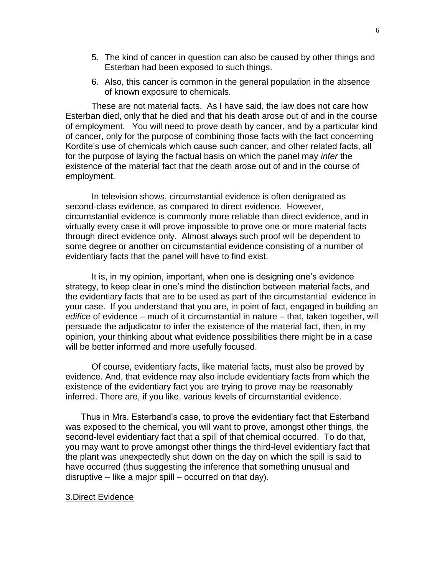- 5. The kind of cancer in question can also be caused by other things and Esterban had been exposed to such things.
- 6. Also, this cancer is common in the general population in the absence of known exposure to chemicals.

These are not material facts. As I have said, the law does not care how Esterban died, only that he died and that his death arose out of and in the course of employment. You will need to prove death by cancer, and by a particular kind of cancer, only for the purpose of combining those facts with the fact concerning Kordite's use of chemicals which cause such cancer, and other related facts, all for the purpose of laying the factual basis on which the panel may *infer* the existence of the material fact that the death arose out of and in the course of employment.

In television shows, circumstantial evidence is often denigrated as second-class evidence, as compared to direct evidence. However, circumstantial evidence is commonly more reliable than direct evidence, and in virtually every case it will prove impossible to prove one or more material facts through direct evidence only. Almost always such proof will be dependent to some degree or another on circumstantial evidence consisting of a number of evidentiary facts that the panel will have to find exist.

It is, in my opinion, important, when one is designing one's evidence strategy, to keep clear in one's mind the distinction between material facts, and the evidentiary facts that are to be used as part of the circumstantial evidence in your case. If you understand that you are, in point of fact, engaged in building an *edifice* of evidence – much of it circumstantial in nature – that, taken together, will persuade the adjudicator to infer the existence of the material fact, then, in my opinion, your thinking about what evidence possibilities there might be in a case will be better informed and more usefully focused.

Of course, evidentiary facts, like material facts, must also be proved by evidence. And, that evidence may also include evidentiary facts from which the existence of the evidentiary fact you are trying to prove may be reasonably inferred. There are, if you like, various levels of circumstantial evidence.

Thus in Mrs. Esterband's case, to prove the evidentiary fact that Esterband was exposed to the chemical, you will want to prove, amongst other things, the second-level evidentiary fact that a spill of that chemical occurred. To do that, you may want to prove amongst other things the third-level evidentiary fact that the plant was unexpectedly shut down on the day on which the spill is said to have occurred (thus suggesting the inference that something unusual and disruptive – like a major spill – occurred on that day).

## 3.Direct Evidence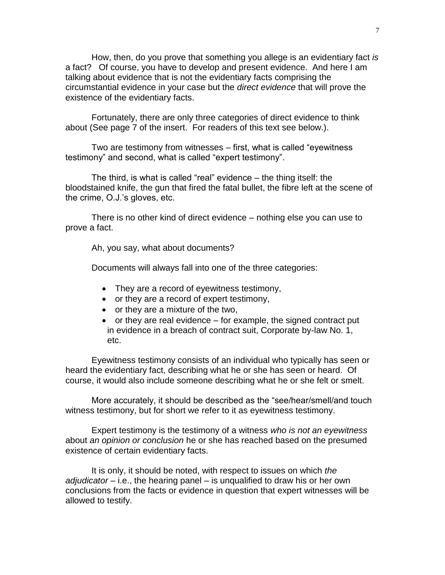How, then, do you prove that something you allege is an evidentiary fact *is* a fact? Of course, you have to develop and present evidence. And here I am talking about evidence that is not the evidentiary facts comprising the circumstantial evidence in your case but the *direct evidence* that will prove the existence of the evidentiary facts.

Fortunately, there are only three categories of direct evidence to think about (See page 7 of the insert. For readers of this text see below.).

Two are testimony from witnesses – first, what is called "eyewitness testimony" and second, what is called "expert testimony".

The third, is what is called "real" evidence – the thing itself: the bloodstained knife, the gun that fired the fatal bullet, the fibre left at the scene of the crime, O.J.'s gloves, etc.

There is no other kind of direct evidence – nothing else you can use to prove a fact.

Ah, you say, what about documents?

Documents will always fall into one of the three categories:

- They are a record of eyewitness testimony,
- or they are a record of expert testimony,
- or they are a mixture of the two,
- $\bullet$  or they are real evidence for example, the signed contract put in evidence in a breach of contract suit, Corporate by-law No. 1, etc.

Eyewitness testimony consists of an individual who typically has seen or heard the evidentiary fact, describing what he or she has seen or heard. Of course, it would also include someone describing what he or she felt or smelt.

More accurately, it should be described as the "see/hear/smell/and touch witness testimony, but for short we refer to it as eyewitness testimony.

Expert testimony is the testimony of a witness *who is not an eyewitness* about *an opinion or conclusion* he or she has reached based on the presumed existence of certain evidentiary facts.

It is only, it should be noted, with respect to issues on which *the adjudicator* – i.e., the hearing panel – is unqualified to draw his or her own conclusions from the facts or evidence in question that expert witnesses will be allowed to testify.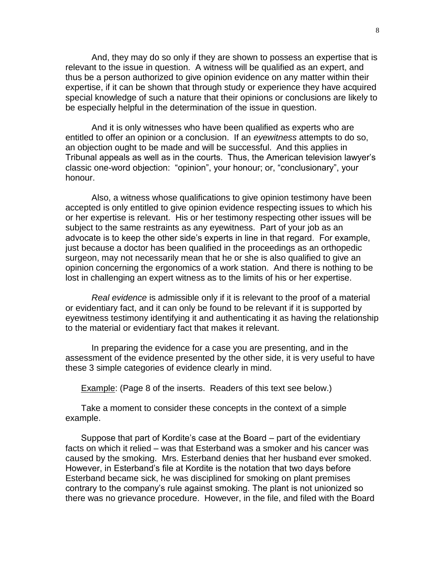And, they may do so only if they are shown to possess an expertise that is relevant to the issue in question. A witness will be qualified as an expert, and thus be a person authorized to give opinion evidence on any matter within their expertise, if it can be shown that through study or experience they have acquired special knowledge of such a nature that their opinions or conclusions are likely to be especially helpful in the determination of the issue in question.

And it is only witnesses who have been qualified as experts who are entitled to offer an opinion or a conclusion. If an *eyewitness* attempts to do so, an objection ought to be made and will be successful. And this applies in Tribunal appeals as well as in the courts. Thus, the American television lawyer's classic one-word objection: "opinion", your honour; or, "conclusionary", your honour.

Also, a witness whose qualifications to give opinion testimony have been accepted is only entitled to give opinion evidence respecting issues to which his or her expertise is relevant. His or her testimony respecting other issues will be subject to the same restraints as any eyewitness. Part of your job as an advocate is to keep the other side's experts in line in that regard. For example, just because a doctor has been qualified in the proceedings as an orthopedic surgeon, may not necessarily mean that he or she is also qualified to give an opinion concerning the ergonomics of a work station. And there is nothing to be lost in challenging an expert witness as to the limits of his or her expertise.

*Real evidence* is admissible only if it is relevant to the proof of a material or evidentiary fact, and it can only be found to be relevant if it is supported by eyewitness testimony identifying it and authenticating it as having the relationship to the material or evidentiary fact that makes it relevant.

In preparing the evidence for a case you are presenting, and in the assessment of the evidence presented by the other side, it is very useful to have these 3 simple categories of evidence clearly in mind.

Example: (Page 8 of the inserts. Readers of this text see below.)

Take a moment to consider these concepts in the context of a simple example.

Suppose that part of Kordite's case at the Board – part of the evidentiary facts on which it relied – was that Esterband was a smoker and his cancer was caused by the smoking. Mrs. Esterband denies that her husband ever smoked. However, in Esterband's file at Kordite is the notation that two days before Esterband became sick, he was disciplined for smoking on plant premises contrary to the company's rule against smoking. The plant is not unionized so there was no grievance procedure. However, in the file, and filed with the Board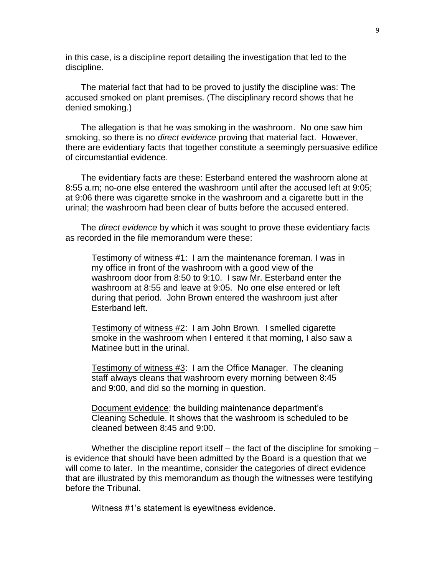in this case, is a discipline report detailing the investigation that led to the discipline.

The material fact that had to be proved to justify the discipline was: The accused smoked on plant premises. (The disciplinary record shows that he denied smoking.)

The allegation is that he was smoking in the washroom. No one saw him smoking, so there is no *direct evidence* proving that material fact. However, there are evidentiary facts that together constitute a seemingly persuasive edifice of circumstantial evidence.

The evidentiary facts are these: Esterband entered the washroom alone at 8:55 a.m; no-one else entered the washroom until after the accused left at 9:05; at 9:06 there was cigarette smoke in the washroom and a cigarette butt in the urinal; the washroom had been clear of butts before the accused entered.

The *direct evidence* by which it was sought to prove these evidentiary facts as recorded in the file memorandum were these:

Testimony of witness #1: I am the maintenance foreman. I was in my office in front of the washroom with a good view of the washroom door from 8:50 to 9:10. I saw Mr. Esterband enter the washroom at 8:55 and leave at 9:05. No one else entered or left during that period. John Brown entered the washroom just after Esterband left.

Testimony of witness #2: I am John Brown. I smelled cigarette smoke in the washroom when I entered it that morning, I also saw a Matinee butt in the urinal.

Testimony of witness #3: I am the Office Manager. The cleaning staff always cleans that washroom every morning between 8:45 and 9:00, and did so the morning in question.

Document evidence: the building maintenance department's Cleaning Schedule. It shows that the washroom is scheduled to be cleaned between 8:45 and 9:00.

Whether the discipline report itself – the fact of the discipline for smoking – is evidence that should have been admitted by the Board is a question that we will come to later. In the meantime, consider the categories of direct evidence that are illustrated by this memorandum as though the witnesses were testifying before the Tribunal.

Witness #1's statement is eyewitness evidence.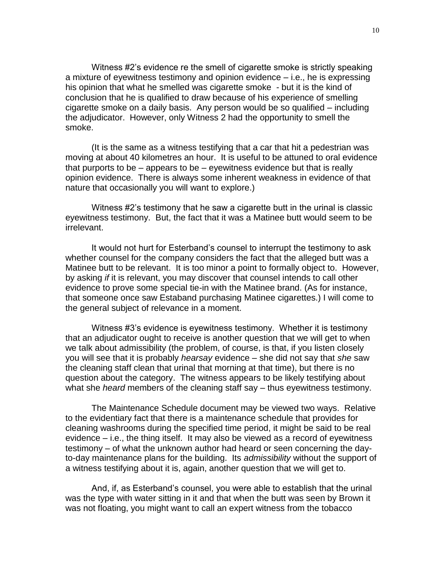Witness #2's evidence re the smell of cigarette smoke is strictly speaking a mixture of eyewitness testimony and opinion evidence – i.e., he is expressing his opinion that what he smelled was cigarette smoke - but it is the kind of conclusion that he is qualified to draw because of his experience of smelling cigarette smoke on a daily basis. Any person would be so qualified – including the adjudicator. However, only Witness 2 had the opportunity to smell the smoke.

(It is the same as a witness testifying that a car that hit a pedestrian was moving at about 40 kilometres an hour. It is useful to be attuned to oral evidence that purports to be – appears to be – eyewitness evidence but that is really opinion evidence. There is always some inherent weakness in evidence of that nature that occasionally you will want to explore.)

Witness #2's testimony that he saw a cigarette butt in the urinal is classic eyewitness testimony. But, the fact that it was a Matinee butt would seem to be irrelevant.

It would not hurt for Esterband's counsel to interrupt the testimony to ask whether counsel for the company considers the fact that the alleged butt was a Matinee butt to be relevant. It is too minor a point to formally object to. However, by asking *if* it is relevant, you may discover that counsel intends to call other evidence to prove some special tie-in with the Matinee brand. (As for instance, that someone once saw Estaband purchasing Matinee cigarettes.) I will come to the general subject of relevance in a moment.

Witness #3's evidence is eyewitness testimony. Whether it is testimony that an adjudicator ought to receive is another question that we will get to when we talk about admissibility (the problem, of course, is that, if you listen closely you will see that it is probably *hearsay* evidence – she did not say that *she* saw the cleaning staff clean that urinal that morning at that time), but there is no question about the category. The witness appears to be likely testifying about what she *heard* members of the cleaning staff say – thus eyewitness testimony.

The Maintenance Schedule document may be viewed two ways. Relative to the evidentiary fact that there is a maintenance schedule that provides for cleaning washrooms during the specified time period, it might be said to be real evidence – i.e., the thing itself. It may also be viewed as a record of eyewitness testimony – of what the unknown author had heard or seen concerning the dayto-day maintenance plans for the building. Its *admissibility* without the support of a witness testifying about it is, again, another question that we will get to.

And, if, as Esterband's counsel, you were able to establish that the urinal was the type with water sitting in it and that when the butt was seen by Brown it was not floating, you might want to call an expert witness from the tobacco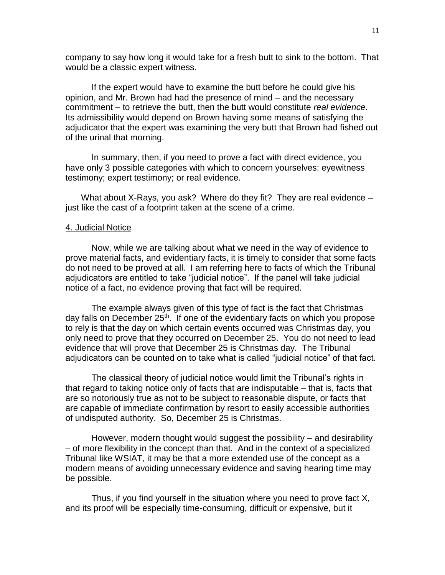company to say how long it would take for a fresh butt to sink to the bottom. That would be a classic expert witness.

If the expert would have to examine the butt before he could give his opinion, and Mr. Brown had had the presence of mind – and the necessary commitment – to retrieve the butt, then the butt would constitute *real evidence*. Its admissibility would depend on Brown having some means of satisfying the adjudicator that the expert was examining the very butt that Brown had fished out of the urinal that morning.

In summary, then, if you need to prove a fact with direct evidence, you have only 3 possible categories with which to concern yourselves: eyewitness testimony; expert testimony; or real evidence.

What about X-Rays, you ask? Where do they fit? They are real evidence – just like the cast of a footprint taken at the scene of a crime.

#### 4. Judicial Notice

Now, while we are talking about what we need in the way of evidence to prove material facts, and evidentiary facts, it is timely to consider that some facts do not need to be proved at all. I am referring here to facts of which the Tribunal adjudicators are entitled to take "judicial notice". If the panel will take judicial notice of a fact, no evidence proving that fact will be required.

The example always given of this type of fact is the fact that Christmas day falls on December 25<sup>th</sup>. If one of the evidentiary facts on which you propose to rely is that the day on which certain events occurred was Christmas day, you only need to prove that they occurred on December 25. You do not need to lead evidence that will prove that December 25 is Christmas day. The Tribunal adjudicators can be counted on to take what is called "judicial notice" of that fact.

The classical theory of judicial notice would limit the Tribunal's rights in that regard to taking notice only of facts that are indisputable – that is, facts that are so notoriously true as not to be subject to reasonable dispute, or facts that are capable of immediate confirmation by resort to easily accessible authorities of undisputed authority. So, December 25 is Christmas.

However, modern thought would suggest the possibility – and desirability – of more flexibility in the concept than that. And in the context of a specialized Tribunal like WSIAT, it may be that a more extended use of the concept as a modern means of avoiding unnecessary evidence and saving hearing time may be possible.

Thus, if you find yourself in the situation where you need to prove fact X, and its proof will be especially time-consuming, difficult or expensive, but it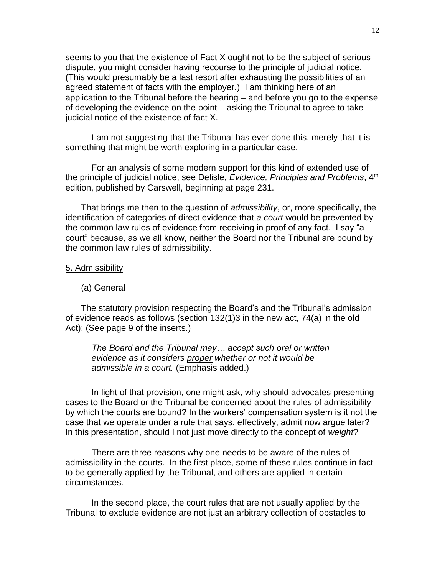seems to you that the existence of Fact X ought not to be the subject of serious dispute, you might consider having recourse to the principle of judicial notice. (This would presumably be a last resort after exhausting the possibilities of an agreed statement of facts with the employer.) I am thinking here of an application to the Tribunal before the hearing – and before you go to the expense of developing the evidence on the point – asking the Tribunal to agree to take judicial notice of the existence of fact X.

I am not suggesting that the Tribunal has ever done this, merely that it is something that might be worth exploring in a particular case.

For an analysis of some modern support for this kind of extended use of the principle of judicial notice, see Delisle, *Evidence, Principles and Problems*, 4th edition, published by Carswell, beginning at page 231.

That brings me then to the question of *admissibility*, or, more specifically, the identification of categories of direct evidence that *a court* would be prevented by the common law rules of evidence from receiving in proof of any fact. I say "a court" because, as we all know, neither the Board nor the Tribunal are bound by the common law rules of admissibility.

#### 5. Admissibility

#### (a) General

The statutory provision respecting the Board's and the Tribunal's admission of evidence reads as follows (section 132(1)3 in the new act, 74(a) in the old Act): (See page 9 of the inserts.)

*The Board and the Tribunal may… accept such oral or written evidence as it considers proper whether or not it would be admissible in a court.* (Emphasis added.)

In light of that provision, one might ask, why should advocates presenting cases to the Board or the Tribunal be concerned about the rules of admissibility by which the courts are bound? In the workers' compensation system is it not the case that we operate under a rule that says, effectively, admit now argue later? In this presentation, should I not just move directly to the concept of *weight*?

There are three reasons why one needs to be aware of the rules of admissibility in the courts. In the first place, some of these rules continue in fact to be generally applied by the Tribunal, and others are applied in certain circumstances.

In the second place, the court rules that are not usually applied by the Tribunal to exclude evidence are not just an arbitrary collection of obstacles to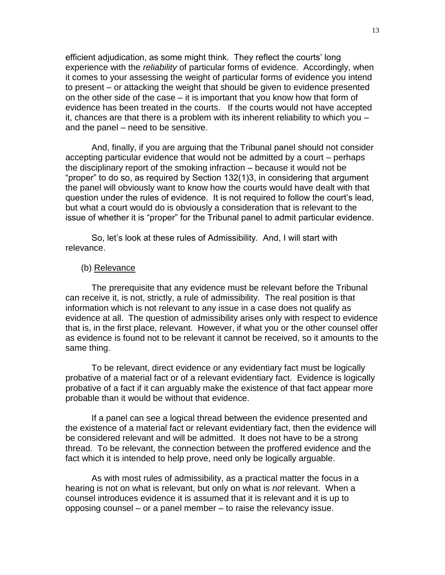efficient adjudication, as some might think. They reflect the courts' long experience with the *reliability* of particular forms of evidence. Accordingly, when it comes to your assessing the weight of particular forms of evidence you intend to present – or attacking the weight that should be given to evidence presented on the other side of the case – it is important that you know how that form of evidence has been treated in the courts. If the courts would not have accepted it, chances are that there is a problem with its inherent reliability to which you – and the panel – need to be sensitive.

And, finally, if you are arguing that the Tribunal panel should not consider accepting particular evidence that would not be admitted by a court – perhaps the disciplinary report of the smoking infraction – because it would not be "proper" to do so, as required by Section 132(1)3, in considering that argument the panel will obviously want to know how the courts would have dealt with that question under the rules of evidence. It is not required to follow the court's lead, but what a court would do is obviously a consideration that is relevant to the issue of whether it is "proper" for the Tribunal panel to admit particular evidence.

So, let's look at these rules of Admissibility. And, I will start with relevance.

#### (b) Relevance

The prerequisite that any evidence must be relevant before the Tribunal can receive it, is not, strictly, a rule of admissibility. The real position is that information which is not relevant to any issue in a case does not qualify as evidence at all. The question of admissibility arises only with respect to evidence that is, in the first place, relevant. However, if what you or the other counsel offer as evidence is found not to be relevant it cannot be received, so it amounts to the same thing.

To be relevant, direct evidence or any evidentiary fact must be logically probative of a material fact or of a relevant evidentiary fact. Evidence is logically probative of a fact if it can arguably make the existence of that fact appear more probable than it would be without that evidence.

If a panel can see a logical thread between the evidence presented and the existence of a material fact or relevant evidentiary fact, then the evidence will be considered relevant and will be admitted. It does not have to be a strong thread. To be relevant, the connection between the proffered evidence and the fact which it is intended to help prove, need only be logically arguable.

As with most rules of admissibility, as a practical matter the focus in a hearing is not on what is relevant, but only on what is *not* relevant. When a counsel introduces evidence it is assumed that it is relevant and it is up to opposing counsel – or a panel member – to raise the relevancy issue.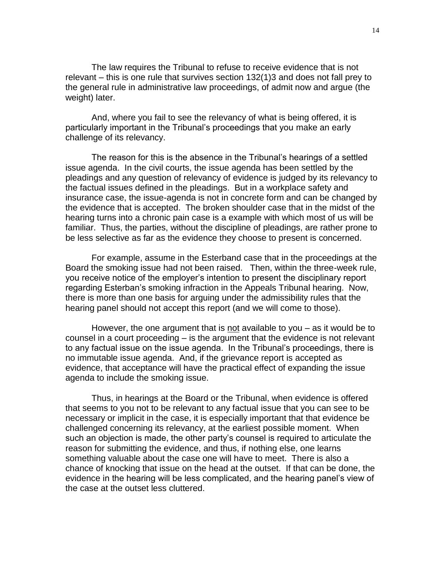The law requires the Tribunal to refuse to receive evidence that is not relevant – this is one rule that survives section 132(1)3 and does not fall prey to the general rule in administrative law proceedings, of admit now and argue (the weight) later.

And, where you fail to see the relevancy of what is being offered, it is particularly important in the Tribunal's proceedings that you make an early challenge of its relevancy.

The reason for this is the absence in the Tribunal's hearings of a settled issue agenda. In the civil courts, the issue agenda has been settled by the pleadings and any question of relevancy of evidence is judged by its relevancy to the factual issues defined in the pleadings. But in a workplace safety and insurance case, the issue-agenda is not in concrete form and can be changed by the evidence that is accepted. The broken shoulder case that in the midst of the hearing turns into a chronic pain case is a example with which most of us will be familiar. Thus, the parties, without the discipline of pleadings, are rather prone to be less selective as far as the evidence they choose to present is concerned.

For example, assume in the Esterband case that in the proceedings at the Board the smoking issue had not been raised. Then, within the three-week rule, you receive notice of the employer's intention to present the disciplinary report regarding Esterban's smoking infraction in the Appeals Tribunal hearing. Now, there is more than one basis for arguing under the admissibility rules that the hearing panel should not accept this report (and we will come to those).

However, the one argument that is not available to you – as it would be to counsel in a court proceeding – is the argument that the evidence is not relevant to any factual issue on the issue agenda. In the Tribunal's proceedings, there is no immutable issue agenda. And, if the grievance report is accepted as evidence, that acceptance will have the practical effect of expanding the issue agenda to include the smoking issue.

Thus, in hearings at the Board or the Tribunal, when evidence is offered that seems to you not to be relevant to any factual issue that you can see to be necessary or implicit in the case, it is especially important that that evidence be challenged concerning its relevancy, at the earliest possible moment. When such an objection is made, the other party's counsel is required to articulate the reason for submitting the evidence, and thus, if nothing else, one learns something valuable about the case one will have to meet. There is also a chance of knocking that issue on the head at the outset. If that can be done, the evidence in the hearing will be less complicated, and the hearing panel's view of the case at the outset less cluttered.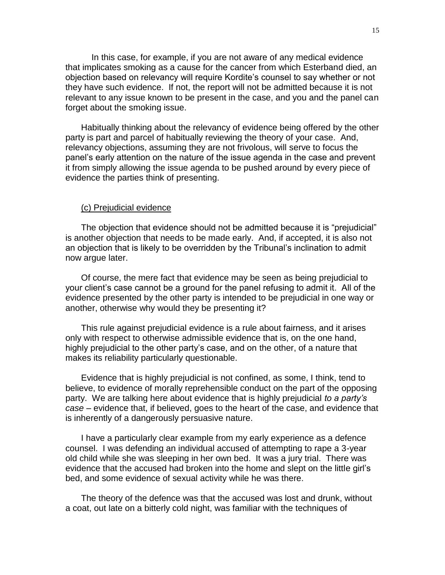In this case, for example, if you are not aware of any medical evidence that implicates smoking as a cause for the cancer from which Esterband died, an objection based on relevancy will require Kordite's counsel to say whether or not they have such evidence. If not, the report will not be admitted because it is not relevant to any issue known to be present in the case, and you and the panel can forget about the smoking issue.

Habitually thinking about the relevancy of evidence being offered by the other party is part and parcel of habitually reviewing the theory of your case. And, relevancy objections, assuming they are not frivolous, will serve to focus the panel's early attention on the nature of the issue agenda in the case and prevent it from simply allowing the issue agenda to be pushed around by every piece of evidence the parties think of presenting.

#### (c) Prejudicial evidence

The objection that evidence should not be admitted because it is "prejudicial" is another objection that needs to be made early. And, if accepted, it is also not an objection that is likely to be overridden by the Tribunal's inclination to admit now argue later.

Of course, the mere fact that evidence may be seen as being prejudicial to your client's case cannot be a ground for the panel refusing to admit it. All of the evidence presented by the other party is intended to be prejudicial in one way or another, otherwise why would they be presenting it?

This rule against prejudicial evidence is a rule about fairness, and it arises only with respect to otherwise admissible evidence that is, on the one hand, highly prejudicial to the other party's case, and on the other, of a nature that makes its reliability particularly questionable.

Evidence that is highly prejudicial is not confined, as some, I think, tend to believe, to evidence of morally reprehensible conduct on the part of the opposing party. We are talking here about evidence that is highly prejudicial *to a party's case* – evidence that, if believed, goes to the heart of the case, and evidence that is inherently of a dangerously persuasive nature.

I have a particularly clear example from my early experience as a defence counsel. I was defending an individual accused of attempting to rape a 3-year old child while she was sleeping in her own bed. It was a jury trial. There was evidence that the accused had broken into the home and slept on the little girl's bed, and some evidence of sexual activity while he was there.

The theory of the defence was that the accused was lost and drunk, without a coat, out late on a bitterly cold night, was familiar with the techniques of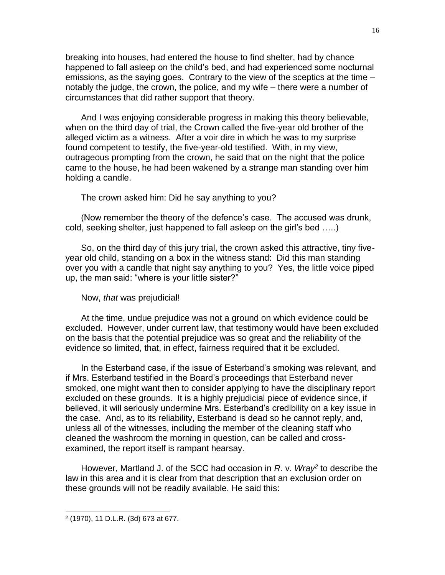breaking into houses, had entered the house to find shelter, had by chance happened to fall asleep on the child's bed, and had experienced some nocturnal emissions, as the saying goes. Contrary to the view of the sceptics at the time – notably the judge, the crown, the police, and my wife – there were a number of circumstances that did rather support that theory.

And I was enjoying considerable progress in making this theory believable, when on the third day of trial, the Crown called the five-year old brother of the alleged victim as a witness. After a voir dire in which he was to my surprise found competent to testify, the five-year-old testified. With, in my view, outrageous prompting from the crown, he said that on the night that the police came to the house, he had been wakened by a strange man standing over him holding a candle.

The crown asked him: Did he say anything to you?

(Now remember the theory of the defence's case. The accused was drunk, cold, seeking shelter, just happened to fall asleep on the girl's bed …..)

So, on the third day of this jury trial, the crown asked this attractive, tiny fiveyear old child, standing on a box in the witness stand: Did this man standing over you with a candle that night say anything to you? Yes, the little voice piped up, the man said: "where is your little sister?"

## Now, *that* was prejudicial!

At the time, undue prejudice was not a ground on which evidence could be excluded. However, under current law, that testimony would have been excluded on the basis that the potential prejudice was so great and the reliability of the evidence so limited, that, in effect, fairness required that it be excluded.

In the Esterband case, if the issue of Esterband's smoking was relevant, and if Mrs. Esterband testified in the Board's proceedings that Esterband never smoked, one might want then to consider applying to have the disciplinary report excluded on these grounds. It is a highly prejudicial piece of evidence since, if believed, it will seriously undermine Mrs. Esterband's credibility on a key issue in the case. And, as to its reliability, Esterband is dead so he cannot reply, and, unless all of the witnesses, including the member of the cleaning staff who cleaned the washroom the morning in question, can be called and crossexamined, the report itself is rampant hearsay.

However, Martland J. of the SCC had occasion in *R.* v. *Wray<sup>2</sup>* to describe the law in this area and it is clear from that description that an exclusion order on these grounds will not be readily available. He said this:

 $\overline{\phantom{a}}$ 

<sup>2</sup> (1970), 11 D.L.R. (3d) 673 at 677.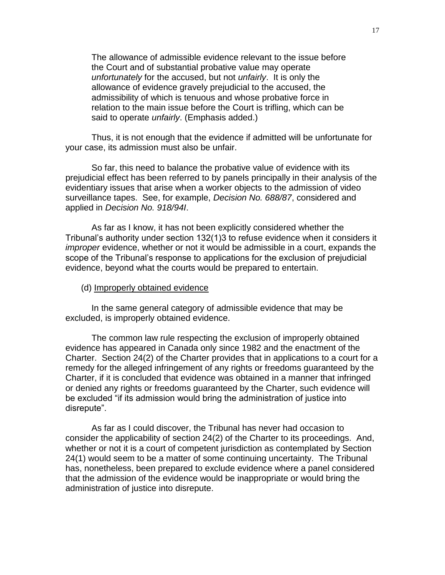The allowance of admissible evidence relevant to the issue before the Court and of substantial probative value may operate *unfortunately* for the accused, but not *unfairly*. It is only the allowance of evidence gravely prejudicial to the accused, the admissibility of which is tenuous and whose probative force in relation to the main issue before the Court is trifling, which can be said to operate *unfairly*. (Emphasis added.)

Thus, it is not enough that the evidence if admitted will be unfortunate for your case, its admission must also be unfair.

So far, this need to balance the probative value of evidence with its prejudicial effect has been referred to by panels principally in their analysis of the evidentiary issues that arise when a worker objects to the admission of video surveillance tapes. See, for example, *Decision No. 688/87*, considered and applied in *Decision No. 918/94I*.

As far as I know, it has not been explicitly considered whether the Tribunal's authority under section 132(1)3 to refuse evidence when it considers it *improper* evidence, whether or not it would be admissible in a court, expands the scope of the Tribunal's response to applications for the exclusion of prejudicial evidence, beyond what the courts would be prepared to entertain.

#### (d) Improperly obtained evidence

In the same general category of admissible evidence that may be excluded, is improperly obtained evidence.

The common law rule respecting the exclusion of improperly obtained evidence has appeared in Canada only since 1982 and the enactment of the Charter. Section 24(2) of the Charter provides that in applications to a court for a remedy for the alleged infringement of any rights or freedoms guaranteed by the Charter, if it is concluded that evidence was obtained in a manner that infringed or denied any rights or freedoms guaranteed by the Charter, such evidence will be excluded "if its admission would bring the administration of justice into disrepute".

As far as I could discover, the Tribunal has never had occasion to consider the applicability of section 24(2) of the Charter to its proceedings. And, whether or not it is a court of competent jurisdiction as contemplated by Section 24(1) would seem to be a matter of some continuing uncertainty. The Tribunal has, nonetheless, been prepared to exclude evidence where a panel considered that the admission of the evidence would be inappropriate or would bring the administration of justice into disrepute.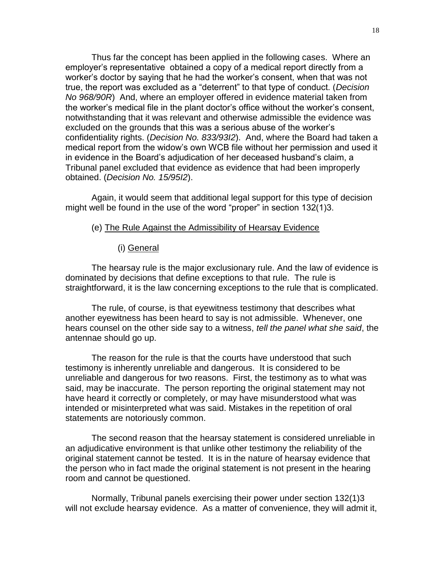Thus far the concept has been applied in the following cases. Where an employer's representative obtained a copy of a medical report directly from a worker's doctor by saying that he had the worker's consent, when that was not true, the report was excluded as a "deterrent" to that type of conduct. (*Decision No 968/90R*) And, where an employer offered in evidence material taken from the worker's medical file in the plant doctor's office without the worker's consent, notwithstanding that it was relevant and otherwise admissible the evidence was excluded on the grounds that this was a serious abuse of the worker's confidentiality rights. (*Decision No. 833/93I2*). And, where the Board had taken a medical report from the widow's own WCB file without her permission and used it in evidence in the Board's adjudication of her deceased husband's claim, a Tribunal panel excluded that evidence as evidence that had been improperly obtained. (*Decision No. 15/95I2*).

Again, it would seem that additional legal support for this type of decision might well be found in the use of the word "proper" in section 132(1)3.

## (e) The Rule Against the Admissibility of Hearsay Evidence

#### (i) General

The hearsay rule is the major exclusionary rule. And the law of evidence is dominated by decisions that define exceptions to that rule. The rule is straightforward, it is the law concerning exceptions to the rule that is complicated.

The rule, of course, is that eyewitness testimony that describes what another eyewitness has been heard to say is not admissible. Whenever, one hears counsel on the other side say to a witness, *tell the panel what she said*, the antennae should go up.

The reason for the rule is that the courts have understood that such testimony is inherently unreliable and dangerous. It is considered to be unreliable and dangerous for two reasons. First, the testimony as to what was said, may be inaccurate. The person reporting the original statement may not have heard it correctly or completely, or may have misunderstood what was intended or misinterpreted what was said. Mistakes in the repetition of oral statements are notoriously common.

The second reason that the hearsay statement is considered unreliable in an adjudicative environment is that unlike other testimony the reliability of the original statement cannot be tested. It is in the nature of hearsay evidence that the person who in fact made the original statement is not present in the hearing room and cannot be questioned.

Normally, Tribunal panels exercising their power under section 132(1)3 will not exclude hearsay evidence. As a matter of convenience, they will admit it,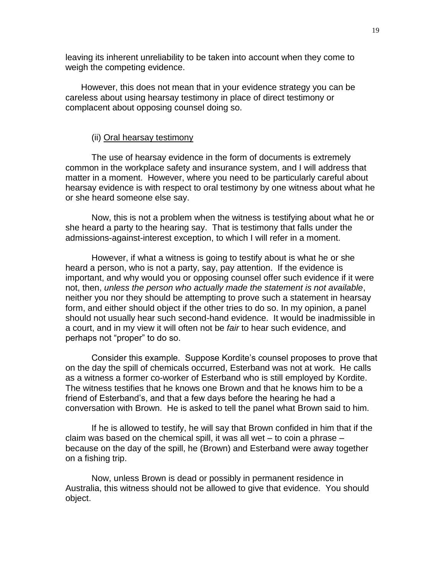leaving its inherent unreliability to be taken into account when they come to weigh the competing evidence.

However, this does not mean that in your evidence strategy you can be careless about using hearsay testimony in place of direct testimony or complacent about opposing counsel doing so.

## (ii) Oral hearsay testimony

The use of hearsay evidence in the form of documents is extremely common in the workplace safety and insurance system, and I will address that matter in a moment. However, where you need to be particularly careful about hearsay evidence is with respect to oral testimony by one witness about what he or she heard someone else say.

Now, this is not a problem when the witness is testifying about what he or she heard a party to the hearing say. That is testimony that falls under the admissions-against-interest exception, to which I will refer in a moment.

However, if what a witness is going to testify about is what he or she heard a person, who is not a party, say, pay attention. If the evidence is important, and why would you or opposing counsel offer such evidence if it were not, then, *unless the person who actually made the statement is not available*, neither you nor they should be attempting to prove such a statement in hearsay form, and either should object if the other tries to do so. In my opinion, a panel should not usually hear such second-hand evidence. It would be inadmissible in a court, and in my view it will often not be *fair* to hear such evidence, and perhaps not "proper" to do so.

Consider this example. Suppose Kordite's counsel proposes to prove that on the day the spill of chemicals occurred, Esterband was not at work. He calls as a witness a former co-worker of Esterband who is still employed by Kordite. The witness testifies that he knows one Brown and that he knows him to be a friend of Esterband's, and that a few days before the hearing he had a conversation with Brown. He is asked to tell the panel what Brown said to him.

If he is allowed to testify, he will say that Brown confided in him that if the claim was based on the chemical spill, it was all wet – to coin a phrase – because on the day of the spill, he (Brown) and Esterband were away together on a fishing trip.

Now, unless Brown is dead or possibly in permanent residence in Australia, this witness should not be allowed to give that evidence. You should object.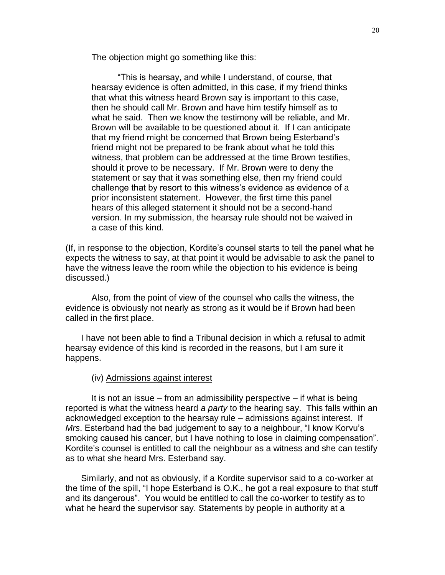The objection might go something like this:

"This is hearsay, and while I understand, of course, that hearsay evidence is often admitted, in this case, if my friend thinks that what this witness heard Brown say is important to this case, then he should call Mr. Brown and have him testify himself as to what he said. Then we know the testimony will be reliable, and Mr. Brown will be available to be questioned about it. If I can anticipate that my friend might be concerned that Brown being Esterband's friend might not be prepared to be frank about what he told this witness, that problem can be addressed at the time Brown testifies, should it prove to be necessary. If Mr. Brown were to deny the statement or say that it was something else, then my friend could challenge that by resort to this witness's evidence as evidence of a prior inconsistent statement. However, the first time this panel hears of this alleged statement it should not be a second-hand version. In my submission, the hearsay rule should not be waived in a case of this kind.

(If, in response to the objection, Kordite's counsel starts to tell the panel what he expects the witness to say, at that point it would be advisable to ask the panel to have the witness leave the room while the objection to his evidence is being discussed.)

Also, from the point of view of the counsel who calls the witness, the evidence is obviously not nearly as strong as it would be if Brown had been called in the first place.

I have not been able to find a Tribunal decision in which a refusal to admit hearsay evidence of this kind is recorded in the reasons, but I am sure it happens.

### (iv) Admissions against interest

It is not an issue – from an admissibility perspective – if what is being reported is what the witness heard *a party* to the hearing say. This falls within an acknowledged exception to the hearsay rule – admissions against interest. If *Mrs*. Esterband had the bad judgement to say to a neighbour, "I know Korvu's smoking caused his cancer, but I have nothing to lose in claiming compensation". Kordite's counsel is entitled to call the neighbour as a witness and she can testify as to what she heard Mrs. Esterband say.

Similarly, and not as obviously, if a Kordite supervisor said to a co-worker at the time of the spill, "I hope Esterband is O.K., he got a real exposure to that stuff and its dangerous". You would be entitled to call the co-worker to testify as to what he heard the supervisor say. Statements by people in authority at a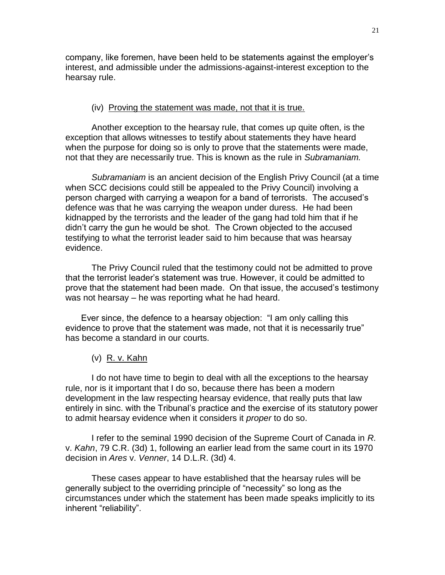company, like foremen, have been held to be statements against the employer's interest, and admissible under the admissions-against-interest exception to the hearsay rule.

# (iv) Proving the statement was made, not that it is true.

Another exception to the hearsay rule, that comes up quite often, is the exception that allows witnesses to testify about statements they have heard when the purpose for doing so is only to prove that the statements were made, not that they are necessarily true. This is known as the rule in *Subramaniam.*

*Subramaniam* is an ancient decision of the English Privy Council (at a time when SCC decisions could still be appealed to the Privy Council) involving a person charged with carrying a weapon for a band of terrorists. The accused's defence was that he was carrying the weapon under duress. He had been kidnapped by the terrorists and the leader of the gang had told him that if he didn't carry the gun he would be shot. The Crown objected to the accused testifying to what the terrorist leader said to him because that was hearsay evidence.

The Privy Council ruled that the testimony could not be admitted to prove that the terrorist leader's statement was true. However, it could be admitted to prove that the statement had been made. On that issue, the accused's testimony was not hearsay – he was reporting what he had heard.

Ever since, the defence to a hearsay objection: "I am only calling this evidence to prove that the statement was made, not that it is necessarily true" has become a standard in our courts.

# (v) R. v. Kahn

I do not have time to begin to deal with all the exceptions to the hearsay rule, nor is it important that I do so, because there has been a modern development in the law respecting hearsay evidence, that really puts that law entirely in sinc. with the Tribunal's practice and the exercise of its statutory power to admit hearsay evidence when it considers it *proper* to do so.

I refer to the seminal 1990 decision of the Supreme Court of Canada in *R.*  v. *Kahn*, 79 C.R. (3d) 1, following an earlier lead from the same court in its 1970 decision in *Ares* v. *Venner*, 14 D.L.R. (3d) 4.

These cases appear to have established that the hearsay rules will be generally subject to the overriding principle of "necessity" so long as the circumstances under which the statement has been made speaks implicitly to its inherent "reliability".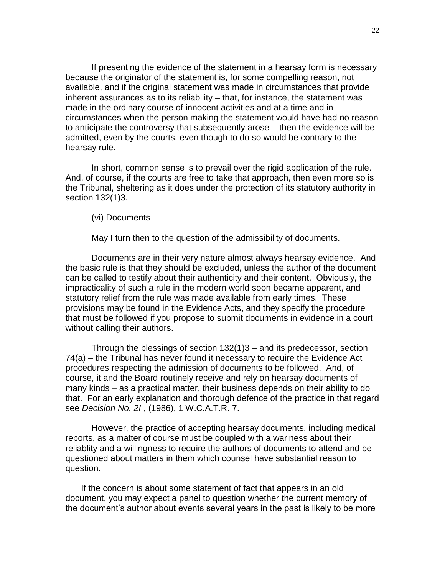If presenting the evidence of the statement in a hearsay form is necessary because the originator of the statement is, for some compelling reason, not available, and if the original statement was made in circumstances that provide inherent assurances as to its reliability – that, for instance, the statement was made in the ordinary course of innocent activities and at a time and in circumstances when the person making the statement would have had no reason to anticipate the controversy that subsequently arose – then the evidence will be admitted, even by the courts, even though to do so would be contrary to the hearsay rule.

In short, common sense is to prevail over the rigid application of the rule. And, of course, if the courts are free to take that approach, then even more so is the Tribunal, sheltering as it does under the protection of its statutory authority in section 132(1)3.

# (vi) Documents

May I turn then to the question of the admissibility of documents.

Documents are in their very nature almost always hearsay evidence. And the basic rule is that they should be excluded, unless the author of the document can be called to testify about their authenticity and their content. Obviously, the impracticality of such a rule in the modern world soon became apparent, and statutory relief from the rule was made available from early times. These provisions may be found in the Evidence Acts, and they specify the procedure that must be followed if you propose to submit documents in evidence in a court without calling their authors.

Through the blessings of section 132(1)3 – and its predecessor, section 74(a) – the Tribunal has never found it necessary to require the Evidence Act procedures respecting the admission of documents to be followed. And, of course, it and the Board routinely receive and rely on hearsay documents of many kinds – as a practical matter, their business depends on their ability to do that. For an early explanation and thorough defence of the practice in that regard see *Decision No. 2I* , (1986), 1 W.C.A.T.R. 7.

However, the practice of accepting hearsay documents, including medical reports, as a matter of course must be coupled with a wariness about their reliablity and a willingness to require the authors of documents to attend and be questioned about matters in them which counsel have substantial reason to question.

If the concern is about some statement of fact that appears in an old document, you may expect a panel to question whether the current memory of the document's author about events several years in the past is likely to be more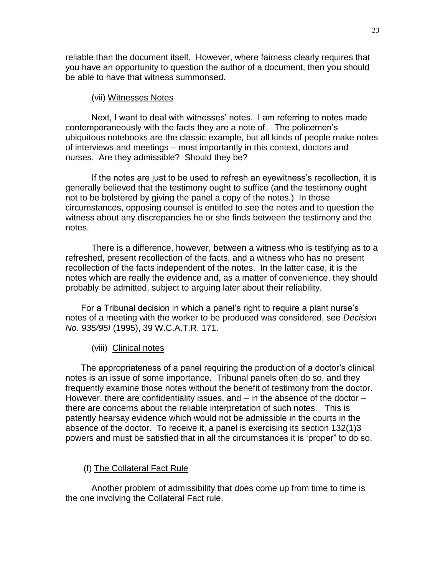reliable than the document itself. However, where fairness clearly requires that you have an opportunity to question the author of a document, then you should be able to have that witness summonsed.

# (vii) Witnesses Notes

Next, I want to deal with witnesses' notes. I am referring to notes made contemporaneously with the facts they are a note of. The policemen's ubiquitous notebooks are the classic example, but all kinds of people make notes of interviews and meetings – most importantly in this context, doctors and nurses. Are they admissible? Should they be?

If the notes are just to be used to refresh an eyewitness's recollection, it is generally believed that the testimony ought to suffice (and the testimony ought not to be bolstered by giving the panel a copy of the notes.) In those circumstances, opposing counsel is entitled to see the notes and to question the witness about any discrepancies he or she finds between the testimony and the notes.

There is a difference, however, between a witness who is testifying as to a refreshed, present recollection of the facts, and a witness who has no present recollection of the facts independent of the notes. In the latter case, it is the notes which are really the evidence and, as a matter of convenience, they should probably be admitted, subject to arguing later about their reliability.

For a Tribunal decision in which a panel's right to require a plant nurse's notes of a meeting with the worker to be produced was considered, see *Decision No. 935/95I* (1995), 39 W.C.A.T.R. 171.

## (viii) Clinical notes

The appropriateness of a panel requiring the production of a doctor's clinical notes is an issue of some importance. Tribunal panels often do so, and they frequently examine those notes without the benefit of testimony from the doctor. However, there are confidentiality issues, and – in the absence of the doctor – there are concerns about the reliable interpretation of such notes. This is patently hearsay evidence which would not be admissible in the courts in the absence of the doctor. To receive it, a panel is exercising its section 132(1)3 powers and must be satisfied that in all the circumstances it is 'proper" to do so.

## (f) The Collateral Fact Rule

Another problem of admissibility that does come up from time to time is the one involving the Collateral Fact rule.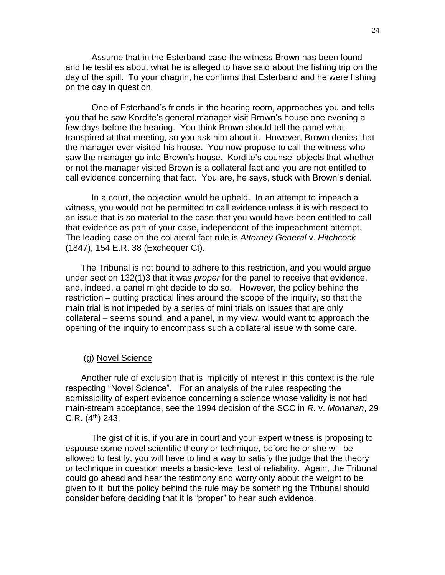Assume that in the Esterband case the witness Brown has been found and he testifies about what he is alleged to have said about the fishing trip on the day of the spill. To your chagrin, he confirms that Esterband and he were fishing on the day in question.

One of Esterband's friends in the hearing room, approaches you and tells you that he saw Kordite's general manager visit Brown's house one evening a few days before the hearing. You think Brown should tell the panel what transpired at that meeting, so you ask him about it. However, Brown denies that the manager ever visited his house. You now propose to call the witness who saw the manager go into Brown's house. Kordite's counsel objects that whether or not the manager visited Brown is a collateral fact and you are not entitled to call evidence concerning that fact. You are, he says, stuck with Brown's denial.

In a court, the objection would be upheld. In an attempt to impeach a witness, you would not be permitted to call evidence unless it is with respect to an issue that is so material to the case that you would have been entitled to call that evidence as part of your case, independent of the impeachment attempt. The leading case on the collateral fact rule is *Attorney General* v. *Hitchcock* (1847), 154 E.R. 38 (Exchequer Ct).

The Tribunal is not bound to adhere to this restriction, and you would argue under section 132(1)3 that it was *proper* for the panel to receive that evidence, and, indeed, a panel might decide to do so. However, the policy behind the restriction – putting practical lines around the scope of the inquiry, so that the main trial is not impeded by a series of mini trials on issues that are only collateral – seems sound, and a panel, in my view, would want to approach the opening of the inquiry to encompass such a collateral issue with some care.

## (g) Novel Science

Another rule of exclusion that is implicitly of interest in this context is the rule respecting "Novel Science". For an analysis of the rules respecting the admissibility of expert evidence concerning a science whose validity is not had main-stream acceptance, see the 1994 decision of the SCC in *R.* v. *Monahan*, 29  $C.R.$  (4<sup>th</sup>) 243.

The gist of it is, if you are in court and your expert witness is proposing to espouse some novel scientific theory or technique, before he or she will be allowed to testify, you will have to find a way to satisfy the judge that the theory or technique in question meets a basic-level test of reliability. Again, the Tribunal could go ahead and hear the testimony and worry only about the weight to be given to it, but the policy behind the rule may be something the Tribunal should consider before deciding that it is "proper" to hear such evidence.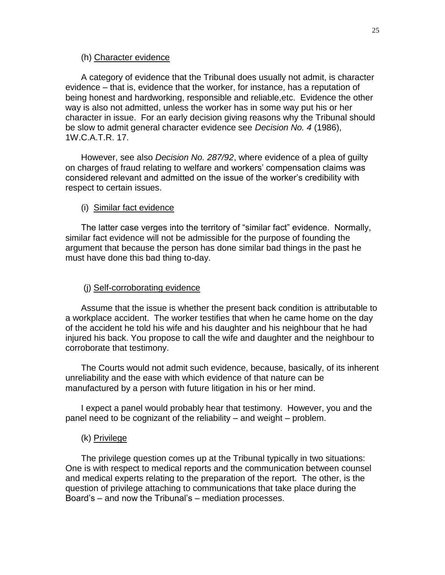## (h) Character evidence

A category of evidence that the Tribunal does usually not admit, is character evidence – that is, evidence that the worker, for instance, has a reputation of being honest and hardworking, responsible and reliable,etc. Evidence the other way is also not admitted, unless the worker has in some way put his or her character in issue. For an early decision giving reasons why the Tribunal should be slow to admit general character evidence see *Decision No. 4* (1986), 1W.C.A.T.R. 17.

However, see also *Decision No. 287/92*, where evidence of a plea of guilty on charges of fraud relating to welfare and workers' compensation claims was considered relevant and admitted on the issue of the worker's credibility with respect to certain issues.

### (i) Similar fact evidence

The latter case verges into the territory of "similar fact" evidence. Normally, similar fact evidence will not be admissible for the purpose of founding the argument that because the person has done similar bad things in the past he must have done this bad thing to-day.

### (j) Self-corroborating evidence

Assume that the issue is whether the present back condition is attributable to a workplace accident. The worker testifies that when he came home on the day of the accident he told his wife and his daughter and his neighbour that he had injured his back. You propose to call the wife and daughter and the neighbour to corroborate that testimony.

The Courts would not admit such evidence, because, basically, of its inherent unreliability and the ease with which evidence of that nature can be manufactured by a person with future litigation in his or her mind.

I expect a panel would probably hear that testimony. However, you and the panel need to be cognizant of the reliability – and weight – problem.

#### (k) Privilege

The privilege question comes up at the Tribunal typically in two situations: One is with respect to medical reports and the communication between counsel and medical experts relating to the preparation of the report. The other, is the question of privilege attaching to communications that take place during the Board's – and now the Tribunal's – mediation processes.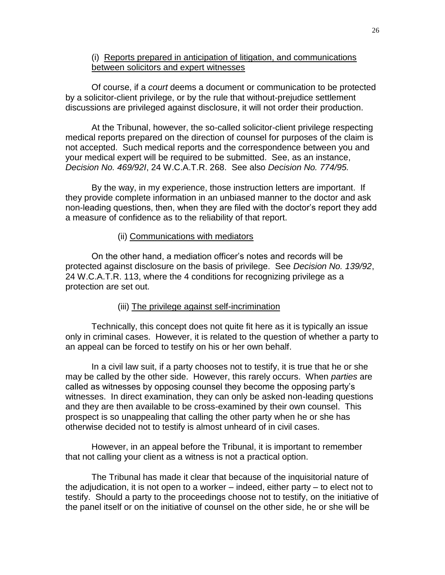# (i) Reports prepared in anticipation of litigation, and communications between solicitors and expert witnesses

Of course, if a *court* deems a document or communication to be protected by a solicitor-client privilege, or by the rule that without-prejudice settlement discussions are privileged against disclosure, it will not order their production.

At the Tribunal, however, the so-called solicitor-client privilege respecting medical reports prepared on the direction of counsel for purposes of the claim is not accepted. Such medical reports and the correspondence between you and your medical expert will be required to be submitted. See, as an instance, *Decision No. 469/92I*, 24 W.C.A.T.R. 268. See also *Decision No. 774/95.*

By the way, in my experience, those instruction letters are important. If they provide complete information in an unbiased manner to the doctor and ask non-leading questions, then, when they are filed with the doctor's report they add a measure of confidence as to the reliability of that report.

# (ii) Communications with mediators

On the other hand, a mediation officer's notes and records will be protected against disclosure on the basis of privilege. See *Decision No. 139/92*, 24 W.C.A.T.R. 113, where the 4 conditions for recognizing privilege as a protection are set out.

#### (iii) The privilege against self-incrimination

Technically, this concept does not quite fit here as it is typically an issue only in criminal cases. However, it is related to the question of whether a party to an appeal can be forced to testify on his or her own behalf.

In a civil law suit, if a party chooses not to testify, it is true that he or she may be called by the other side. However, this rarely occurs. When *parties* are called as witnesses by opposing counsel they become the opposing party's witnesses. In direct examination, they can only be asked non-leading questions and they are then available to be cross-examined by their own counsel. This prospect is so unappealing that calling the other party when he or she has otherwise decided not to testify is almost unheard of in civil cases.

However, in an appeal before the Tribunal, it is important to remember that not calling your client as a witness is not a practical option.

The Tribunal has made it clear that because of the inquisitorial nature of the adjudication, it is not open to a worker – indeed, either party – to elect not to testify. Should a party to the proceedings choose not to testify, on the initiative of the panel itself or on the initiative of counsel on the other side, he or she will be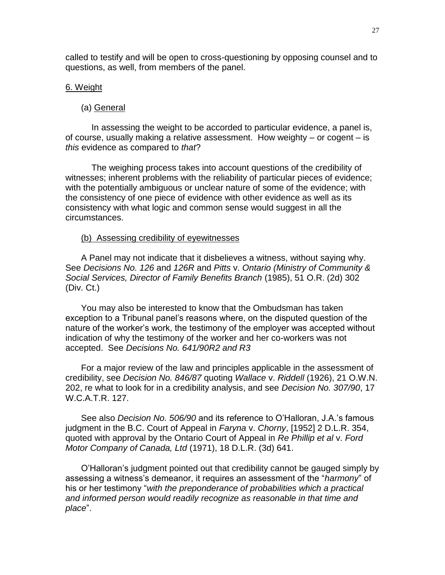called to testify and will be open to cross-questioning by opposing counsel and to questions, as well, from members of the panel.

# 6. Weight

# (a) General

In assessing the weight to be accorded to particular evidence, a panel is, of course, usually making a relative assessment. How weighty – or cogent – is *this* evidence as compared to *that*?

The weighing process takes into account questions of the credibility of witnesses; inherent problems with the reliability of particular pieces of evidence; with the potentially ambiguous or unclear nature of some of the evidence; with the consistency of one piece of evidence with other evidence as well as its consistency with what logic and common sense would suggest in all the circumstances.

## (b) Assessing credibility of eyewitnesses

A Panel may not indicate that it disbelieves a witness, without saying why. See *Decisions No. 126* and *126R* and *Pitts* v. *Ontario (Ministry of Community & Social Services, Director of Family Benefits Branch* (1985), 51 O.R. (2d) 302 (Div. Ct.)

You may also be interested to know that the Ombudsman has taken exception to a Tribunal panel's reasons where, on the disputed question of the nature of the worker's work, the testimony of the employer was accepted without indication of why the testimony of the worker and her co-workers was not accepted. See *Decisions No. 641/90R2 and R3*

For a major review of the law and principles applicable in the assessment of credibility, see *Decision No. 846/87* quoting *Wallace* v. *Riddell* (1926), 21 O.W.N. 202, re what to look for in a credibility analysis, and see *Decision No. 307/90*, 17 W.C.A.T.R. 127.

See also *Decision No. 506/90* and its reference to O'Halloran, J.A.'s famous judgment in the B.C. Court of Appeal in *Faryna* v. *Chorny*, [1952] 2 D.L.R. 354, quoted with approval by the Ontario Court of Appeal in *Re Phillip et al* v. *Ford Motor Company of Canada, Ltd* (1971), 18 D.L.R. (3d) 641.

O'Halloran's judgment pointed out that credibility cannot be gauged simply by assessing a witness's demeanor, it requires an assessment of the "*harmony*" of his or her testimony "*with the preponderance of probabilities which a practical and informed person would readily recognize as reasonable in that time and place*".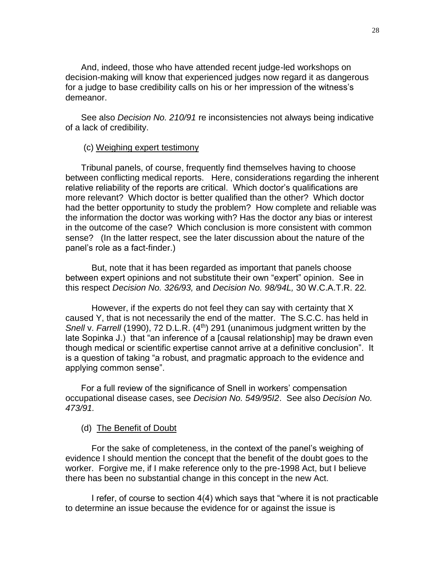And, indeed, those who have attended recent judge-led workshops on decision-making will know that experienced judges now regard it as dangerous for a judge to base credibility calls on his or her impression of the witness's demeanor.

See also *Decision No. 210/91* re inconsistencies not always being indicative of a lack of credibility.

## (c) Weighing expert testimony

Tribunal panels, of course, frequently find themselves having to choose between conflicting medical reports. Here, considerations regarding the inherent relative reliability of the reports are critical. Which doctor's qualifications are more relevant? Which doctor is better qualified than the other? Which doctor had the better opportunity to study the problem? How complete and reliable was the information the doctor was working with? Has the doctor any bias or interest in the outcome of the case? Which conclusion is more consistent with common sense? (In the latter respect, see the later discussion about the nature of the panel's role as a fact-finder.)

But, note that it has been regarded as important that panels choose between expert opinions and not substitute their own "expert" opinion. See in this respect *Decision No. 326/93,* and *Decision No. 98/94L,* 30 W.C.A.T.R. 22*.*

However, if the experts do not feel they can say with certainty that X caused Y, that is not necessarily the end of the matter. The S.C.C. has held in *Snell* v. *Farrell* (1990), 72 D.L.R. (4<sup>th</sup>) 291 (unanimous judgment written by the late Sopinka J.) that "an inference of a [causal relationship] may be drawn even though medical or scientific expertise cannot arrive at a definitive conclusion". It is a question of taking "a robust, and pragmatic approach to the evidence and applying common sense".

For a full review of the significance of Snell in workers' compensation occupational disease cases, see *Decision No. 549/95I2*. See also *Decision No. 473/91.* 

# (d) The Benefit of Doubt

For the sake of completeness, in the context of the panel's weighing of evidence I should mention the concept that the benefit of the doubt goes to the worker. Forgive me, if I make reference only to the pre-1998 Act, but I believe there has been no substantial change in this concept in the new Act.

I refer, of course to section 4(4) which says that "where it is not practicable to determine an issue because the evidence for or against the issue is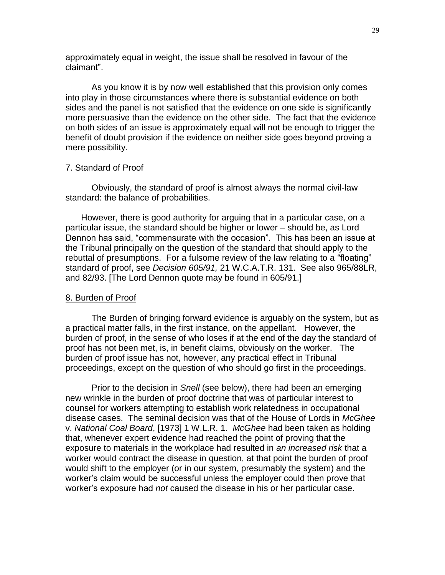approximately equal in weight, the issue shall be resolved in favour of the claimant".

As you know it is by now well established that this provision only comes into play in those circumstances where there is substantial evidence on both sides and the panel is not satisfied that the evidence on one side is significantly more persuasive than the evidence on the other side. The fact that the evidence on both sides of an issue is approximately equal will not be enough to trigger the benefit of doubt provision if the evidence on neither side goes beyond proving a mere possibility.

#### 7. Standard of Proof

Obviously, the standard of proof is almost always the normal civil-law standard: the balance of probabilities.

However, there is good authority for arguing that in a particular case, on a particular issue, the standard should be higher or lower – should be, as Lord Dennon has said, "commensurate with the occasion". This has been an issue at the Tribunal principally on the question of the standard that should apply to the rebuttal of presumptions. For a fulsome review of the law relating to a "floating" standard of proof, see *Decision 605/91,* 21 W.C.A.T.R. 131. See also 965/88LR, and 82/93. [The Lord Dennon quote may be found in 605/91.]

#### 8. Burden of Proof

The Burden of bringing forward evidence is arguably on the system, but as a practical matter falls, in the first instance, on the appellant. However, the burden of proof, in the sense of who loses if at the end of the day the standard of proof has not been met, is, in benefit claims, obviously on the worker. The burden of proof issue has not, however, any practical effect in Tribunal proceedings, except on the question of who should go first in the proceedings.

Prior to the decision in *Snell* (see below), there had been an emerging new wrinkle in the burden of proof doctrine that was of particular interest to counsel for workers attempting to establish work relatedness in occupational disease cases. The seminal decision was that of the House of Lords in *McGhee*  v. *National Coal Board*, [1973] 1 W.L.R. 1. *McGhee* had been taken as holding that, whenever expert evidence had reached the point of proving that the exposure to materials in the workplace had resulted in *an increased risk* that a worker would contract the disease in question, at that point the burden of proof would shift to the employer (or in our system, presumably the system) and the worker's claim would be successful unless the employer could then prove that worker's exposure had *not* caused the disease in his or her particular case.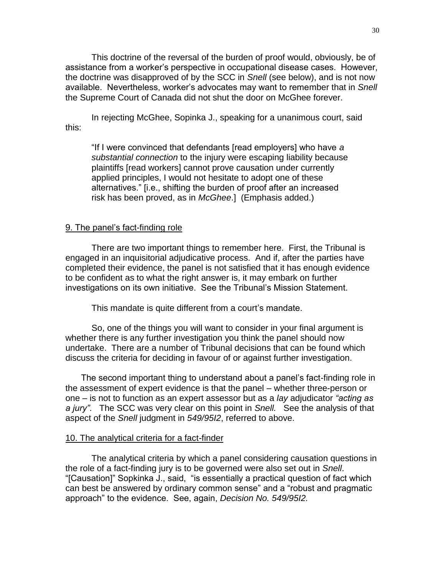This doctrine of the reversal of the burden of proof would, obviously, be of assistance from a worker's perspective in occupational disease cases. However, the doctrine was disapproved of by the SCC in *Snell* (see below), and is not now available. Nevertheless, worker's advocates may want to remember that in *Snell*  the Supreme Court of Canada did not shut the door on McGhee forever.

In rejecting McGhee, Sopinka J., speaking for a unanimous court, said this:

"If I were convinced that defendants [read employers] who have *a substantial connection* to the injury were escaping liability because plaintiffs [read workers] cannot prove causation under currently applied principles, I would not hesitate to adopt one of these alternatives." [i.e., shifting the burden of proof after an increased risk has been proved, as in *McGhee*.] (Emphasis added.)

## 9. The panel's fact-finding role

There are two important things to remember here. First, the Tribunal is engaged in an inquisitorial adjudicative process. And if, after the parties have completed their evidence, the panel is not satisfied that it has enough evidence to be confident as to what the right answer is, it may embark on further investigations on its own initiative. See the Tribunal's Mission Statement.

This mandate is quite different from a court's mandate.

So, one of the things you will want to consider in your final argument is whether there is any further investigation you think the panel should now undertake. There are a number of Tribunal decisions that can be found which discuss the criteria for deciding in favour of or against further investigation.

The second important thing to understand about a panel's fact-finding role in the assessment of expert evidence is that the panel – whether three-person or one – is not to function as an expert assessor but as a *lay* adjudicator *"acting as a jury"*. The SCC was very clear on this point in *Snell.* See the analysis of that aspect of the *Snell* judgment in *549/95I2*, referred to above.

#### 10. The analytical criteria for a fact-finder

The analytical criteria by which a panel considering causation questions in the role of a fact-finding jury is to be governed were also set out in *Snell*. "[Causation]" Sopkinka J., said, "is essentially a practical question of fact which can best be answered by ordinary common sense" and a "robust and pragmatic approach" to the evidence. See, again, *Decision No. 549/95I2.*